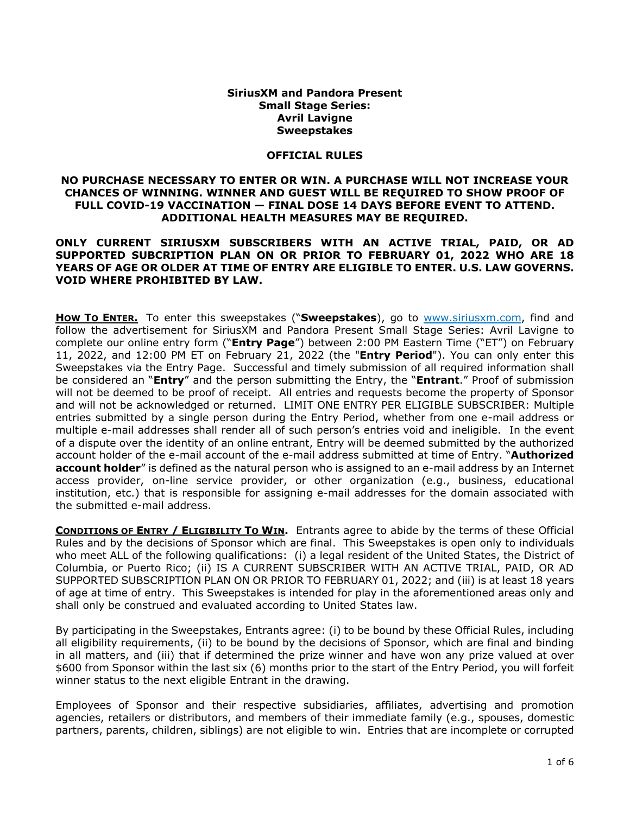## **SiriusXM and Pandora Present Small Stage Series: Avril Lavigne Sweepstakes**

## **OFFICIAL RULES**

## **NO PURCHASE NECESSARY TO ENTER OR WIN. A PURCHASE WILL NOT INCREASE YOUR CHANCES OF WINNING. WINNER AND GUEST WILL BE REQUIRED TO SHOW PROOF OF FULL COVID-19 VACCINATION — FINAL DOSE 14 DAYS BEFORE EVENT TO ATTEND. ADDITIONAL HEALTH MEASURES MAY BE REQUIRED.**

## **ONLY CURRENT SIRIUSXM SUBSCRIBERS WITH AN ACTIVE TRIAL, PAID, OR AD SUPPORTED SUBCRIPTION PLAN ON OR PRIOR TO FEBRUARY 01, 2022 WHO ARE 18 YEARS OF AGE OR OLDER AT TIME OF ENTRY ARE ELIGIBLE TO ENTER. U.S. LAW GOVERNS. VOID WHERE PROHIBITED BY LAW.**

**HOW TO ENTER.** To enter this sweepstakes ("**Sweepstakes**), go to [www.siriusxm.com,](http://www.siriusxm.com/) find and follow the advertisement for SiriusXM and Pandora Present Small Stage Series: Avril Lavigne to complete our online entry form ("**Entry Page**") between 2:00 PM Eastern Time ("ET") on February 11, 2022, and 12:00 PM ET on February 21, 2022 (the "**Entry Period**"). You can only enter this Sweepstakes via the Entry Page. Successful and timely submission of all required information shall be considered an "**Entry**" and the person submitting the Entry, the "**Entrant**." Proof of submission will not be deemed to be proof of receipt. All entries and requests become the property of Sponsor and will not be acknowledged or returned. LIMIT ONE ENTRY PER ELIGIBLE SUBSCRIBER: Multiple entries submitted by a single person during the Entry Period, whether from one e-mail address or multiple e-mail addresses shall render all of such person's entries void and ineligible. In the event of a dispute over the identity of an online entrant, Entry will be deemed submitted by the authorized account holder of the e-mail account of the e-mail address submitted at time of Entry. "**Authorized account holder**" is defined as the natural person who is assigned to an e-mail address by an Internet access provider, on-line service provider, or other organization (e.g., business, educational institution, etc.) that is responsible for assigning e-mail addresses for the domain associated with the submitted e-mail address.

**CONDITIONS OF ENTRY / ELIGIBILITY TO WIN.** Entrants agree to abide by the terms of these Official Rules and by the decisions of Sponsor which are final. This Sweepstakes is open only to individuals who meet ALL of the following qualifications: (i) a legal resident of the United States, the District of Columbia, or Puerto Rico; (ii) IS A CURRENT SUBSCRIBER WITH AN ACTIVE TRIAL, PAID, OR AD SUPPORTED SUBSCRIPTION PLAN ON OR PRIOR TO FEBRUARY 01, 2022; and (iii) is at least 18 years of age at time of entry. This Sweepstakes is intended for play in the aforementioned areas only and shall only be construed and evaluated according to United States law.

By participating in the Sweepstakes, Entrants agree: (i) to be bound by these Official Rules, including all eligibility requirements, (ii) to be bound by the decisions of Sponsor, which are final and binding in all matters, and (iii) that if determined the prize winner and have won any prize valued at over \$600 from Sponsor within the last six (6) months prior to the start of the Entry Period, you will forfeit winner status to the next eligible Entrant in the drawing.

Employees of Sponsor and their respective subsidiaries, affiliates, advertising and promotion agencies, retailers or distributors, and members of their immediate family (e.g., spouses, domestic partners, parents, children, siblings) are not eligible to win. Entries that are incomplete or corrupted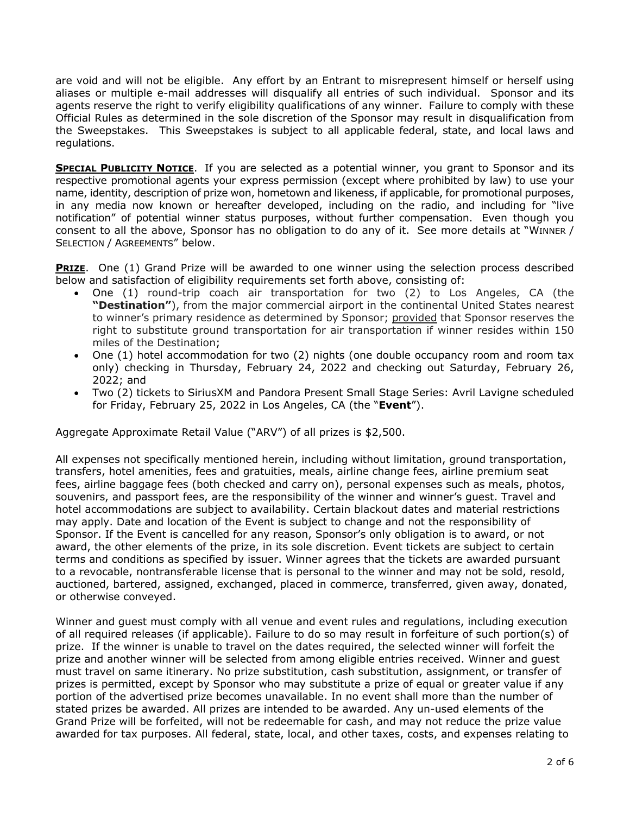are void and will not be eligible. Any effort by an Entrant to misrepresent himself or herself using aliases or multiple e-mail addresses will disqualify all entries of such individual. Sponsor and its agents reserve the right to verify eligibility qualifications of any winner. Failure to comply with these Official Rules as determined in the sole discretion of the Sponsor may result in disqualification from the Sweepstakes. This Sweepstakes is subject to all applicable federal, state, and local laws and regulations.

**SPECIAL PUBLICITY NOTICE.** If you are selected as a potential winner, you grant to Sponsor and its respective promotional agents your express permission (except where prohibited by law) to use your name, identity, description of prize won, hometown and likeness, if applicable, for promotional purposes, in any media now known or hereafter developed, including on the radio, and including for "live notification" of potential winner status purposes, without further compensation. Even though you consent to all the above, Sponsor has no obligation to do any of it. See more details at "WINNER / SELECTION / AGREEMENTS" below.

**PRIZE.** One (1) Grand Prize will be awarded to one winner using the selection process described below and satisfaction of eligibility requirements set forth above, consisting of:

- One (1) round-trip coach air transportation for two (2) to Los Angeles, CA (the **"Destination"**), from the major commercial airport in the continental United States nearest to winner's primary residence as determined by Sponsor; provided that Sponsor reserves the right to substitute ground transportation for air transportation if winner resides within 150 miles of the Destination;
- One (1) hotel accommodation for two (2) nights (one double occupancy room and room tax only) checking in Thursday, February 24, 2022 and checking out Saturday, February 26, 2022; and
- Two (2) tickets to SiriusXM and Pandora Present Small Stage Series: Avril Lavigne scheduled for Friday, February 25, 2022 in Los Angeles, CA (the "**Event**").

Aggregate Approximate Retail Value ("ARV") of all prizes is \$2,500.

All expenses not specifically mentioned herein, including without limitation, ground transportation, transfers, hotel amenities, fees and gratuities, meals, airline change fees, airline premium seat fees, airline baggage fees (both checked and carry on), personal expenses such as meals, photos, souvenirs, and passport fees, are the responsibility of the winner and winner's guest. Travel and hotel accommodations are subject to availability. Certain blackout dates and material restrictions may apply. Date and location of the Event is subject to change and not the responsibility of Sponsor. If the Event is cancelled for any reason, Sponsor's only obligation is to award, or not award, the other elements of the prize, in its sole discretion. Event tickets are subject to certain terms and conditions as specified by issuer. Winner agrees that the tickets are awarded pursuant to a revocable, nontransferable license that is personal to the winner and may not be sold, resold, auctioned, bartered, assigned, exchanged, placed in commerce, transferred, given away, donated, or otherwise conveyed.

Winner and guest must comply with all venue and event rules and regulations, including execution of all required releases (if applicable). Failure to do so may result in forfeiture of such portion(s) of prize. If the winner is unable to travel on the dates required, the selected winner will forfeit the prize and another winner will be selected from among eligible entries received. Winner and guest must travel on same itinerary. No prize substitution, cash substitution, assignment, or transfer of prizes is permitted, except by Sponsor who may substitute a prize of equal or greater value if any portion of the advertised prize becomes unavailable. In no event shall more than the number of stated prizes be awarded. All prizes are intended to be awarded. Any un-used elements of the Grand Prize will be forfeited, will not be redeemable for cash, and may not reduce the prize value awarded for tax purposes. All federal, state, local, and other taxes, costs, and expenses relating to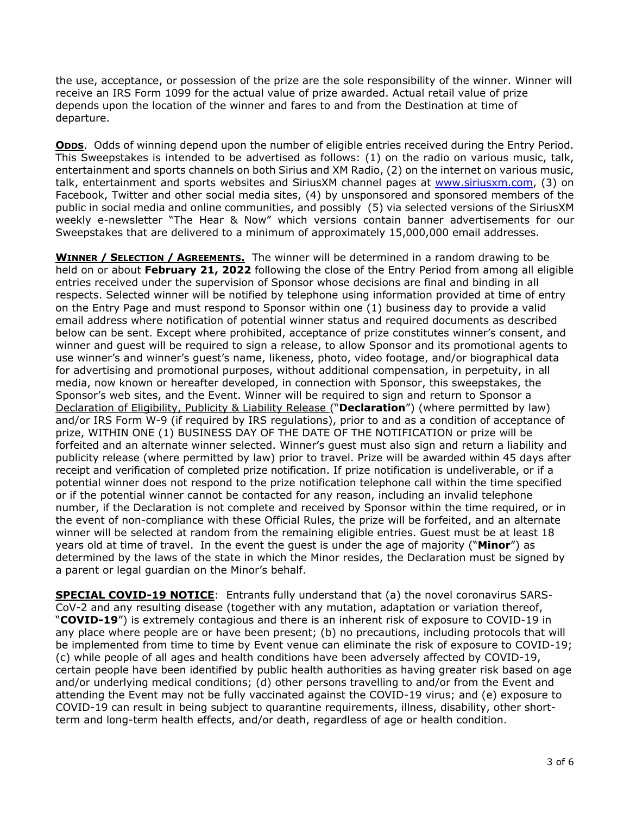the use, acceptance, or possession of the prize are the sole responsibility of the winner. Winner will receive an IRS Form 1099 for the actual value of prize awarded. Actual retail value of prize depends upon the location of the winner and fares to and from the Destination at time of departure.

**ODDS.** Odds of winning depend upon the number of eligible entries received during the Entry Period. This Sweepstakes is intended to be advertised as follows: (1) on the radio on various music, talk, entertainment and sports channels on both Sirius and XM Radio, (2) on the internet on various music, talk, entertainment and sports websites and SiriusXM channel pages at [www.siriusxm.com,](http://www.siriusxm.com/) (3) on Facebook, Twitter and other social media sites, (4) by unsponsored and sponsored members of the public in social media and online communities, and possibly (5) via selected versions of the SiriusXM weekly e-newsletter "The Hear & Now" which versions contain banner advertisements for our Sweepstakes that are delivered to a minimum of approximately 15,000,000 email addresses.

**WINNER / SELECTION / AGREEMENTS.** The winner will be determined in a random drawing to be held on or about **February 21, 2022** following the close of the Entry Period from among all eligible entries received under the supervision of Sponsor whose decisions are final and binding in all respects. Selected winner will be notified by telephone using information provided at time of entry on the Entry Page and must respond to Sponsor within one (1) business day to provide a valid email address where notification of potential winner status and required documents as described below can be sent. Except where prohibited, acceptance of prize constitutes winner's consent, and winner and guest will be required to sign a release, to allow Sponsor and its promotional agents to use winner's and winner's guest's name, likeness, photo, video footage, and/or biographical data for advertising and promotional purposes, without additional compensation, in perpetuity, in all media, now known or hereafter developed, in connection with Sponsor, this sweepstakes, the Sponsor's web sites, and the Event. Winner will be required to sign and return to Sponsor a Declaration of Eligibility, Publicity & Liability Release ("**Declaration**") (where permitted by law) and/or IRS Form W-9 (if required by IRS regulations), prior to and as a condition of acceptance of prize, WITHIN ONE (1) BUSINESS DAY OF THE DATE OF THE NOTIFICATION or prize will be forfeited and an alternate winner selected. Winner's guest must also sign and return a liability and publicity release (where permitted by law) prior to travel. Prize will be awarded within 45 days after receipt and verification of completed prize notification. If prize notification is undeliverable, or if a potential winner does not respond to the prize notification telephone call within the time specified or if the potential winner cannot be contacted for any reason, including an invalid telephone number, if the Declaration is not complete and received by Sponsor within the time required, or in the event of non-compliance with these Official Rules, the prize will be forfeited, and an alternate winner will be selected at random from the remaining eligible entries. Guest must be at least 18 years old at time of travel. In the event the guest is under the age of majority ("**Minor**") as determined by the laws of the state in which the Minor resides, the Declaration must be signed by a parent or legal guardian on the Minor's behalf.

**SPECIAL COVID-19 NOTICE:** Entrants fully understand that (a) the novel coronavirus SARS-CoV-2 and any resulting disease (together with any mutation, adaptation or variation thereof, "**COVID-19**") is extremely contagious and there is an inherent risk of exposure to COVID-19 in any place where people are or have been present; (b) no precautions, including protocols that will be implemented from time to time by Event venue can eliminate the risk of exposure to COVID-19; (c) while people of all ages and health conditions have been adversely affected by COVID-19, certain people have been identified by public health authorities as having greater risk based on age and/or underlying medical conditions; (d) other persons travelling to and/or from the Event and attending the Event may not be fully vaccinated against the COVID-19 virus; and (e) exposure to COVID-19 can result in being subject to quarantine requirements, illness, disability, other shortterm and long-term health effects, and/or death, regardless of age or health condition.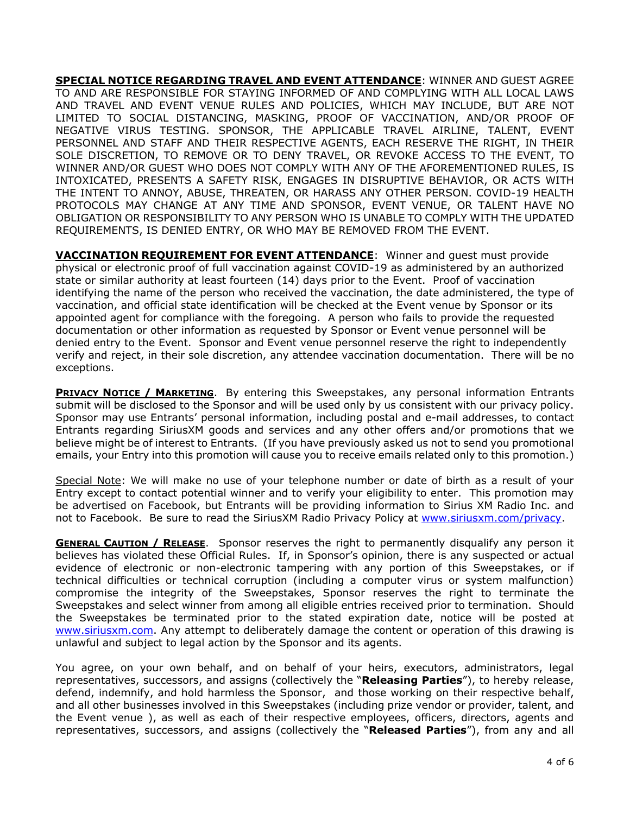**SPECIAL NOTICE REGARDING TRAVEL AND EVENT ATTENDANCE**: WINNER AND GUEST AGREE TO AND ARE RESPONSIBLE FOR STAYING INFORMED OF AND COMPLYING WITH ALL LOCAL LAWS AND TRAVEL AND EVENT VENUE RULES AND POLICIES, WHICH MAY INCLUDE, BUT ARE NOT LIMITED TO SOCIAL DISTANCING, MASKING, PROOF OF VACCINATION, AND/OR PROOF OF NEGATIVE VIRUS TESTING. SPONSOR, THE APPLICABLE TRAVEL AIRLINE, TALENT, EVENT PERSONNEL AND STAFF AND THEIR RESPECTIVE AGENTS, EACH RESERVE THE RIGHT, IN THEIR SOLE DISCRETION, TO REMOVE OR TO DENY TRAVEL, OR REVOKE ACCESS TO THE EVENT, TO WINNER AND/OR GUEST WHO DOES NOT COMPLY WITH ANY OF THE AFOREMENTIONED RULES, IS INTOXICATED, PRESENTS A SAFETY RISK, ENGAGES IN DISRUPTIVE BEHAVIOR, OR ACTS WITH THE INTENT TO ANNOY, ABUSE, THREATEN, OR HARASS ANY OTHER PERSON. COVID-19 HEALTH PROTOCOLS MAY CHANGE AT ANY TIME AND SPONSOR, EVENT VENUE, OR TALENT HAVE NO OBLIGATION OR RESPONSIBILITY TO ANY PERSON WHO IS UNABLE TO COMPLY WITH THE UPDATED REQUIREMENTS, IS DENIED ENTRY, OR WHO MAY BE REMOVED FROM THE EVENT.

**VACCINATION REQUIREMENT FOR EVENT ATTENDANCE**: Winner and guest must provide physical or electronic proof of full vaccination against COVID-19 as administered by an authorized state or similar authority at least fourteen (14) days prior to the Event. Proof of vaccination identifying the name of the person who received the vaccination, the date administered, the type of vaccination, and official state identification will be checked at the Event venue by Sponsor or its appointed agent for compliance with the foregoing. A person who fails to provide the requested documentation or other information as requested by Sponsor or Event venue personnel will be denied entry to the Event. Sponsor and Event venue personnel reserve the right to independently verify and reject, in their sole discretion, any attendee vaccination documentation. There will be no exceptions.

**PRIVACY NOTICE / MARKETING.** By entering this Sweepstakes, any personal information Entrants submit will be disclosed to the Sponsor and will be used only by us consistent with our privacy policy. Sponsor may use Entrants' personal information, including postal and e-mail addresses, to contact Entrants regarding SiriusXM goods and services and any other offers and/or promotions that we believe might be of interest to Entrants. (If you have previously asked us not to send you promotional emails, your Entry into this promotion will cause you to receive emails related only to this promotion.)

Special Note: We will make no use of your telephone number or date of birth as a result of your Entry except to contact potential winner and to verify your eligibility to enter. This promotion may be advertised on Facebook, but Entrants will be providing information to Sirius XM Radio Inc. and not to Facebook. Be sure to read the SiriusXM Radio Privacy Policy at [www.siriusxm.com/privacy.](http://www.siriusxm.com/privacy)

**GENERAL CAUTION / RELEASE.** Sponsor reserves the right to permanently disqualify any person it believes has violated these Official Rules. If, in Sponsor's opinion, there is any suspected or actual evidence of electronic or non-electronic tampering with any portion of this Sweepstakes, or if technical difficulties or technical corruption (including a computer virus or system malfunction) compromise the integrity of the Sweepstakes, Sponsor reserves the right to terminate the Sweepstakes and select winner from among all eligible entries received prior to termination. Should the Sweepstakes be terminated prior to the stated expiration date, notice will be posted at [www.siriusxm.com.](http://www.siriusxm.com/) Any attempt to deliberately damage the content or operation of this drawing is unlawful and subject to legal action by the Sponsor and its agents.

You agree, on your own behalf, and on behalf of your heirs, executors, administrators, legal representatives, successors, and assigns (collectively the "**Releasing Parties**"), to hereby release, defend, indemnify, and hold harmless the Sponsor, and those working on their respective behalf, and all other businesses involved in this Sweepstakes (including prize vendor or provider, talent, and the Event venue ), as well as each of their respective employees, officers, directors, agents and representatives, successors, and assigns (collectively the "**Released Parties**"), from any and all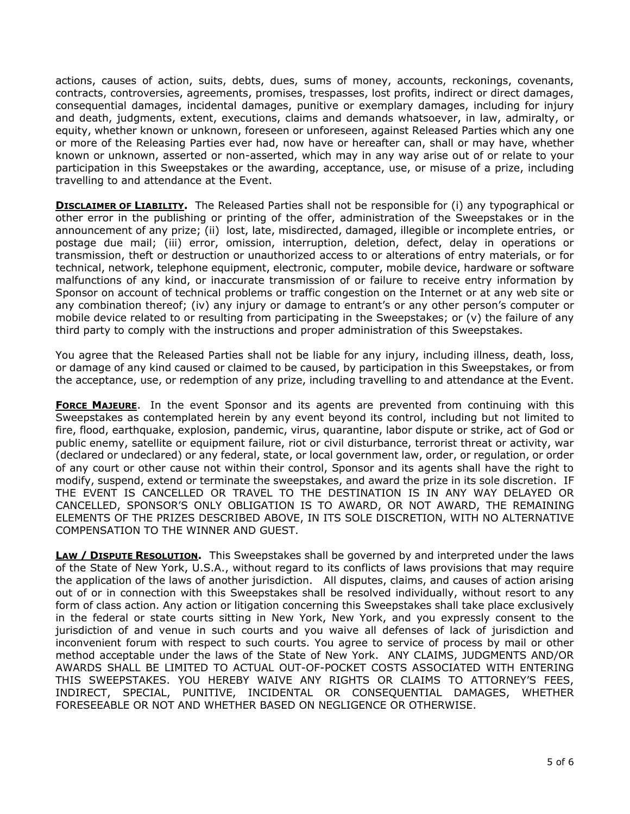actions, causes of action, suits, debts, dues, sums of money, accounts, reckonings, covenants, contracts, controversies, agreements, promises, trespasses, lost profits, indirect or direct damages, consequential damages, incidental damages, punitive or exemplary damages, including for injury and death, judgments, extent, executions, claims and demands whatsoever, in law, admiralty, or equity, whether known or unknown, foreseen or unforeseen, against Released Parties which any one or more of the Releasing Parties ever had, now have or hereafter can, shall or may have, whether known or unknown, asserted or non-asserted, which may in any way arise out of or relate to your participation in this Sweepstakes or the awarding, acceptance, use, or misuse of a prize, including travelling to and attendance at the Event.

**DISCLAIMER OF LIABILITY.** The Released Parties shall not be responsible for (i) any typographical or other error in the publishing or printing of the offer, administration of the Sweepstakes or in the announcement of any prize; (ii) lost, late, misdirected, damaged, illegible or incomplete entries, or postage due mail; (iii) error, omission, interruption, deletion, defect, delay in operations or transmission, theft or destruction or unauthorized access to or alterations of entry materials, or for technical, network, telephone equipment, electronic, computer, mobile device, hardware or software malfunctions of any kind, or inaccurate transmission of or failure to receive entry information by Sponsor on account of technical problems or traffic congestion on the Internet or at any web site or any combination thereof; (iv) any injury or damage to entrant's or any other person's computer or mobile device related to or resulting from participating in the Sweepstakes; or (v) the failure of any third party to comply with the instructions and proper administration of this Sweepstakes.

You agree that the Released Parties shall not be liable for any injury, including illness, death, loss, or damage of any kind caused or claimed to be caused, by participation in this Sweepstakes, or from the acceptance, use, or redemption of any prize, including travelling to and attendance at the Event.

**FORCE MAJEURE**. In the event Sponsor and its agents are prevented from continuing with this Sweepstakes as contemplated herein by any event beyond its control, including but not limited to fire, flood, earthquake, explosion, pandemic, virus, quarantine, labor dispute or strike, act of God or public enemy, satellite or equipment failure, riot or civil disturbance, terrorist threat or activity, war (declared or undeclared) or any federal, state, or local government law, order, or regulation, or order of any court or other cause not within their control, Sponsor and its agents shall have the right to modify, suspend, extend or terminate the sweepstakes, and award the prize in its sole discretion. IF THE EVENT IS CANCELLED OR TRAVEL TO THE DESTINATION IS IN ANY WAY DELAYED OR CANCELLED, SPONSOR'S ONLY OBLIGATION IS TO AWARD, OR NOT AWARD, THE REMAINING ELEMENTS OF THE PRIZES DESCRIBED ABOVE, IN ITS SOLE DISCRETION, WITH NO ALTERNATIVE COMPENSATION TO THE WINNER AND GUEST.

**LAW / DISPUTE RESOLUTION.** This Sweepstakes shall be governed by and interpreted under the laws of the State of New York, U.S.A., without regard to its conflicts of laws provisions that may require the application of the laws of another jurisdiction. All disputes, claims, and causes of action arising out of or in connection with this Sweepstakes shall be resolved individually, without resort to any form of class action. Any action or litigation concerning this Sweepstakes shall take place exclusively in the federal or state courts sitting in New York, New York, and you expressly consent to the jurisdiction of and venue in such courts and you waive all defenses of lack of jurisdiction and inconvenient forum with respect to such courts. You agree to service of process by mail or other method acceptable under the laws of the State of New York. ANY CLAIMS, JUDGMENTS AND/OR AWARDS SHALL BE LIMITED TO ACTUAL OUT-OF-POCKET COSTS ASSOCIATED WITH ENTERING THIS SWEEPSTAKES. YOU HEREBY WAIVE ANY RIGHTS OR CLAIMS TO ATTORNEY'S FEES, INDIRECT, SPECIAL, PUNITIVE, INCIDENTAL OR CONSEQUENTIAL DAMAGES, WHETHER FORESEEABLE OR NOT AND WHETHER BASED ON NEGLIGENCE OR OTHERWISE.